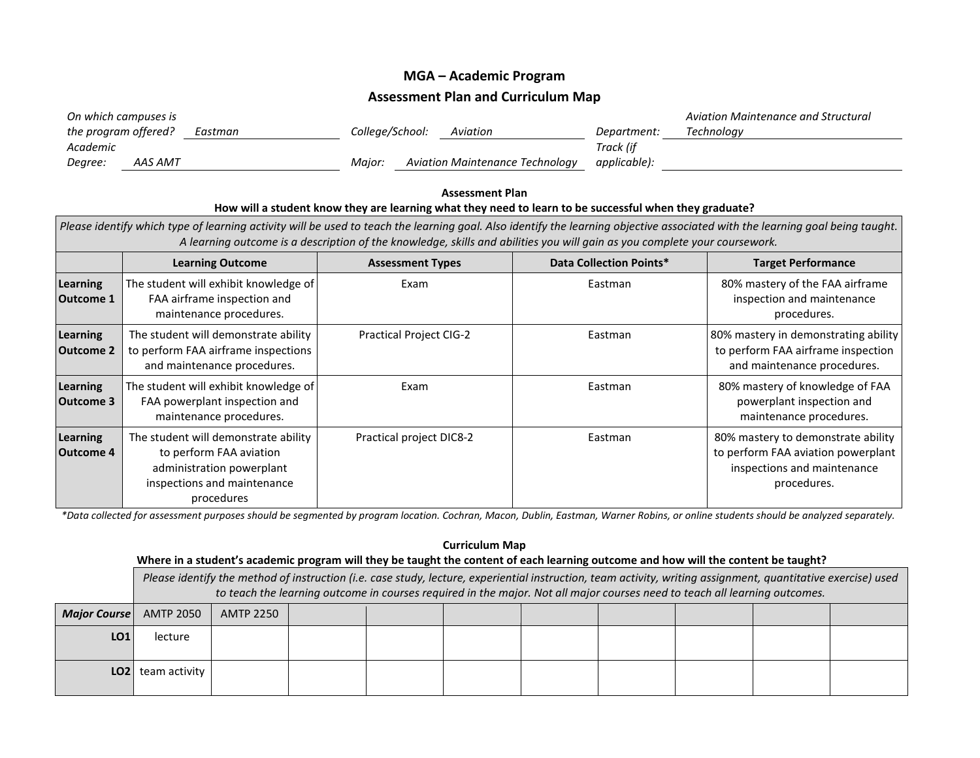## **MGA – Academic Program**

## **Assessment Plan and Curriculum Map**

| On which campuses is |         |                 |                                 |              | Aviation Maintenance and Structural |
|----------------------|---------|-----------------|---------------------------------|--------------|-------------------------------------|
| the program offered? | Eastman | College/School: | Aviation                        | Department:  | Technoloav                          |
| Academic             |         |                 |                                 | Track (if    |                                     |
| AAS AMT<br>Degree:   |         | Maior:          | Aviation Maintenance Technology | applicable): |                                     |

## **Assessment Plan How will a student know they are learning what they need to learn to be successful when they graduate?** *Please identify which type of learning activity will be used to teach the learning goal. Also identify the learning objective associated with the learning goal being taught. A learning outcome is a description of the knowledge, skills and abilities you will gain as you complete your coursework.* **Learning Outcome Assessment Types Data Collection Points\* Target Performance Learning Outcome 1** The student will exhibit knowledge of FAA airframe inspection and maintenance procedures. Exam  $\vert$  Eastman  $\vert$  80% mastery of the FAA airframe inspection and maintenance procedures. **Learning Outcome 2** The student will demonstrate ability to perform FAA airframe inspections and maintenance procedures. Practical Project CIG-2 **Eastman Eastman** 80% mastery in demonstrating ability to perform FAA airframe inspection and maintenance procedures. **Learning Outcome 3** The student will exhibit knowledge of FAA powerplant inspection and maintenance procedures. Exam **Eastman** Eastman BOW mastery of knowledge of FAA powerplant inspection and maintenance procedures. **Learning Outcome 4** The student will demonstrate ability to perform FAA aviation administration powerplant inspections and maintenance procedures Practical project DIC8-2 | Eastman 80% mastery to demonstrate ability to perform FAA aviation powerplant inspections and maintenance procedures.

*\*Data collected for assessment purposes should be segmented by program location. Cochran, Macon, Dublin, Eastman, Warner Robins, or online students should be analyzed separately.*

| <b>Curriculum Map</b>                                                                                                              |                                                                                                                                                                                                                                                                                             |                  |  |  |  |  |  |  |  |  |  |
|------------------------------------------------------------------------------------------------------------------------------------|---------------------------------------------------------------------------------------------------------------------------------------------------------------------------------------------------------------------------------------------------------------------------------------------|------------------|--|--|--|--|--|--|--|--|--|
| Where in a student's academic program will they be taught the content of each learning outcome and how will the content be taught? |                                                                                                                                                                                                                                                                                             |                  |  |  |  |  |  |  |  |  |  |
|                                                                                                                                    | Please identify the method of instruction (i.e. case study, lecture, experiential instruction, team activity, writing assignment, quantitative exercise) used<br>to teach the learning outcome in courses required in the major. Not all major courses need to teach all learning outcomes. |                  |  |  |  |  |  |  |  |  |  |
| <b>Major Course</b>                                                                                                                | <b>AMTP 2050</b>                                                                                                                                                                                                                                                                            | <b>AMTP 2250</b> |  |  |  |  |  |  |  |  |  |
| LO1                                                                                                                                | lecture                                                                                                                                                                                                                                                                                     |                  |  |  |  |  |  |  |  |  |  |
| LO <sub>2</sub>                                                                                                                    | team activity                                                                                                                                                                                                                                                                               |                  |  |  |  |  |  |  |  |  |  |